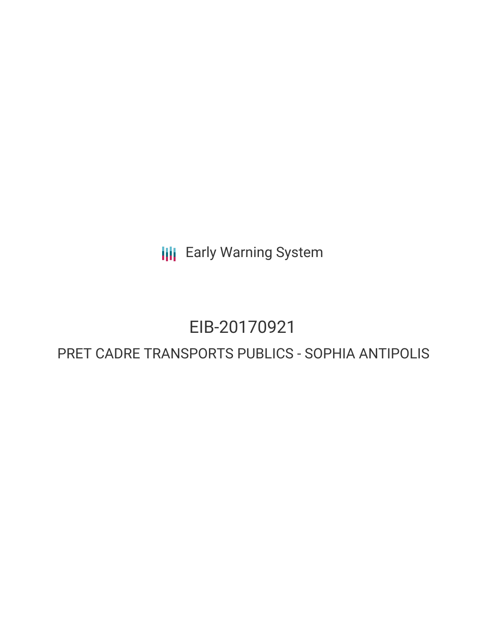**III** Early Warning System

# EIB-20170921

## PRET CADRE TRANSPORTS PUBLICS - SOPHIA ANTIPOLIS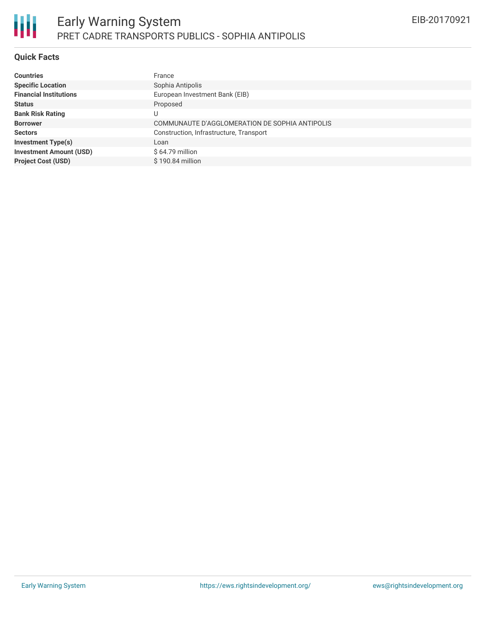#### **Quick Facts**

| <b>Countries</b>               | France                                         |
|--------------------------------|------------------------------------------------|
| <b>Specific Location</b>       | Sophia Antipolis                               |
| <b>Financial Institutions</b>  | European Investment Bank (EIB)                 |
| <b>Status</b>                  | Proposed                                       |
| <b>Bank Risk Rating</b>        | U                                              |
| <b>Borrower</b>                | COMMUNAUTE D'AGGLOMERATION DE SOPHIA ANTIPOLIS |
| <b>Sectors</b>                 | Construction, Infrastructure, Transport        |
| <b>Investment Type(s)</b>      | Loan                                           |
| <b>Investment Amount (USD)</b> | $$64.79$ million                               |
| <b>Project Cost (USD)</b>      | $$190.84$ million                              |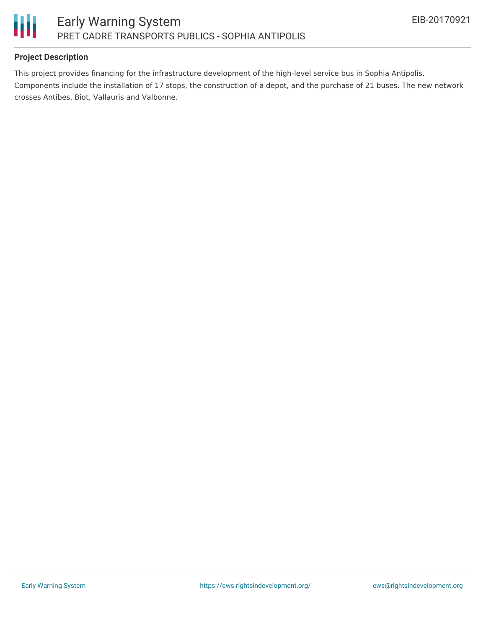

### **Project Description**

This project provides financing for the infrastructure development of the high-level service bus in Sophia Antipolis. Components include the installation of 17 stops, the construction of a depot, and the purchase of 21 buses. The new network crosses Antibes, Biot, Vallauris and Valbonne.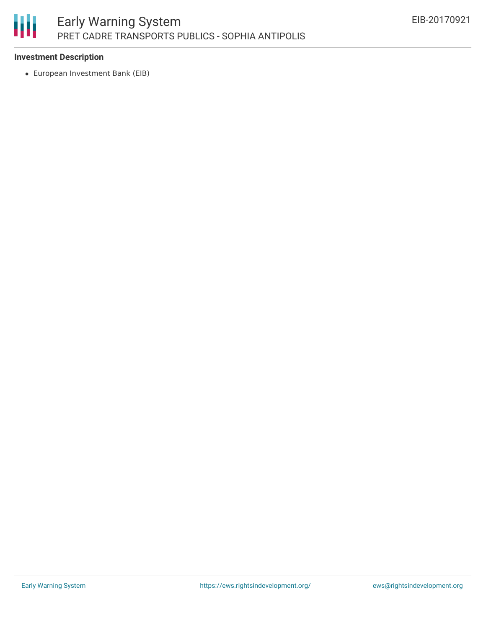

#### **Investment Description**

European Investment Bank (EIB)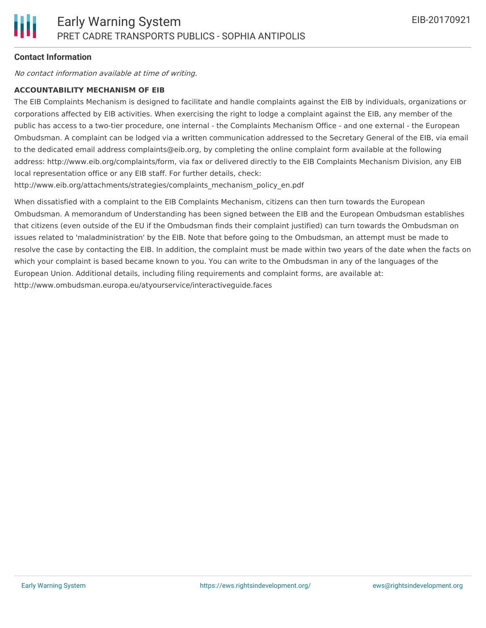#### **Contact Information**

No contact information available at time of writing.

#### **ACCOUNTABILITY MECHANISM OF EIB**

The EIB Complaints Mechanism is designed to facilitate and handle complaints against the EIB by individuals, organizations or corporations affected by EIB activities. When exercising the right to lodge a complaint against the EIB, any member of the public has access to a two-tier procedure, one internal - the Complaints Mechanism Office - and one external - the European Ombudsman. A complaint can be lodged via a written communication addressed to the Secretary General of the EIB, via email to the dedicated email address complaints@eib.org, by completing the online complaint form available at the following address: http://www.eib.org/complaints/form, via fax or delivered directly to the EIB Complaints Mechanism Division, any EIB local representation office or any EIB staff. For further details, check:

http://www.eib.org/attachments/strategies/complaints\_mechanism\_policy\_en.pdf

When dissatisfied with a complaint to the EIB Complaints Mechanism, citizens can then turn towards the European Ombudsman. A memorandum of Understanding has been signed between the EIB and the European Ombudsman establishes that citizens (even outside of the EU if the Ombudsman finds their complaint justified) can turn towards the Ombudsman on issues related to 'maladministration' by the EIB. Note that before going to the Ombudsman, an attempt must be made to resolve the case by contacting the EIB. In addition, the complaint must be made within two years of the date when the facts on which your complaint is based became known to you. You can write to the Ombudsman in any of the languages of the European Union. Additional details, including filing requirements and complaint forms, are available at: http://www.ombudsman.europa.eu/atyourservice/interactiveguide.faces